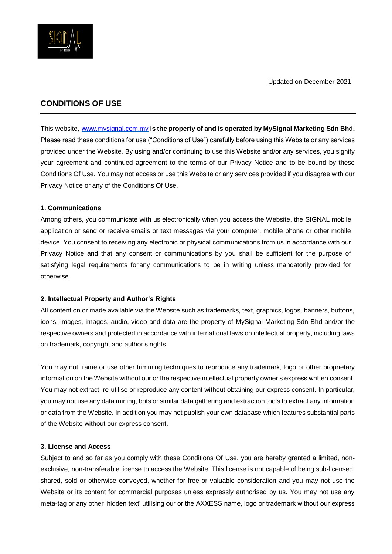

# **CONDITIONS OF USE**

This website, [www.mysignal.com.my](http://www.mysignal.com.my/) **is the property of and is operated by MySignal Marketing Sdn Bhd.**  Please read these conditions for use ("Conditions of Use") carefully before using this Website or any services provided under the Website. By using and/or continuing to use this Website and/or any services, you signify your agreement and continued agreement to the terms of our Privacy Notice and to be bound by these Conditions Of Use. You may not access or use this Website or any services provided if you disagree with our Privacy Notice or any of the Conditions Of Use.

# **1. Communications**

Among others, you communicate with us electronically when you access the Website, the SIGNAL mobile application or send or receive emails or text messages via your computer, mobile phone or other mobile device. You consent to receiving any electronic or physical communications from us in accordance with our Privacy Notice and that any consent or communications by you shall be sufficient for the purpose of satisfying legal requirements forany communications to be in writing unless mandatorily provided for otherwise.

# **2. Intellectual Property and Author's Rights**

All content on or made available via the Website such as trademarks, text, graphics, logos, banners, buttons, icons, images, images, audio, video and data are the property of MySignal Marketing Sdn Bhd and/or the respective owners and protected in accordance with international laws on intellectual property, including laws on trademark, copyright and author's rights.

You may not frame or use other trimming techniques to reproduce any trademark, logo or other proprietary information on the Website without our or the respective intellectual property owner's express written consent. You may not extract, re-utilise or reproduce any content without obtaining our express consent. In particular, you may not use any data mining, bots or similar data gathering and extraction tools to extract any information or data from the Website. In addition you may not publish your own database which features substantial parts of the Website without our express consent.

#### **3. License and Access**

Subject to and so far as you comply with these Conditions Of Use, you are hereby granted a limited, nonexclusive, non-transferable license to access the Website. This license is not capable of being sub-licensed, shared, sold or otherwise conveyed, whether for free or valuable consideration and you may not use the Website or its content for commercial purposes unless expressly authorised by us. You may not use any meta-tag or any other 'hidden text' utilising our or the AXXESS name, logo or trademark without our express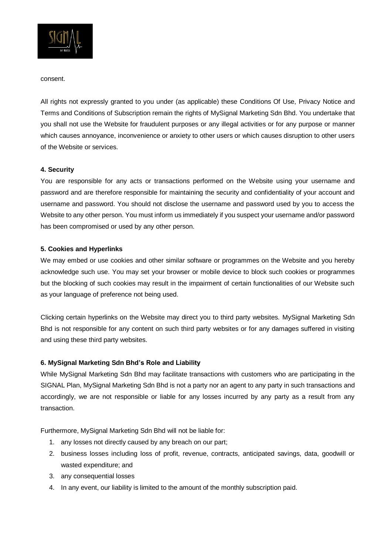

consent.

All rights not expressly granted to you under (as applicable) these Conditions Of Use, Privacy Notice and Terms and Conditions of Subscription remain the rights of MySignal Marketing Sdn Bhd. You undertake that you shall not use the Website for fraudulent purposes or any illegal activities or for any purpose or manner which causes annoyance, inconvenience or anxiety to other users or which causes disruption to other users of the Website or services.

### **4. Security**

You are responsible for any acts or transactions performed on the Website using your username and password and are therefore responsible for maintaining the security and confidentiality of your account and username and password. You should not disclose the username and password used by you to access the Website to any other person. You must inform us immediately if you suspect your username and/or password has been compromised or used by any other person.

### **5. Cookies and Hyperlinks**

We may embed or use cookies and other similar software or programmes on the Website and you hereby acknowledge such use. You may set your browser or mobile device to block such cookies or programmes but the blocking of such cookies may result in the impairment of certain functionalities of our Website such as your language of preference not being used.

Clicking certain hyperlinks on the Website may direct you to third party websites. MySignal Marketing Sdn Bhd is not responsible for any content on such third party websites or for any damages suffered in visiting and using these third party websites.

# **6. MySignal Marketing Sdn Bhd's Role and Liability**

While MySignal Marketing Sdn Bhd may facilitate transactions with customers who are participating in the SIGNAL Plan, MySignal Marketing Sdn Bhd is not a party nor an agent to any party in such transactions and accordingly, we are not responsible or liable for any losses incurred by any party as a result from any transaction.

Furthermore, MySignal Marketing Sdn Bhd will not be liable for:

- 1. any losses not directly caused by any breach on our part;
- 2. business losses including loss of profit, revenue, contracts, anticipated savings, data, goodwill or wasted expenditure; and
- 3. any consequential losses
- 4. In any event, our liability is limited to the amount of the monthly subscription paid.